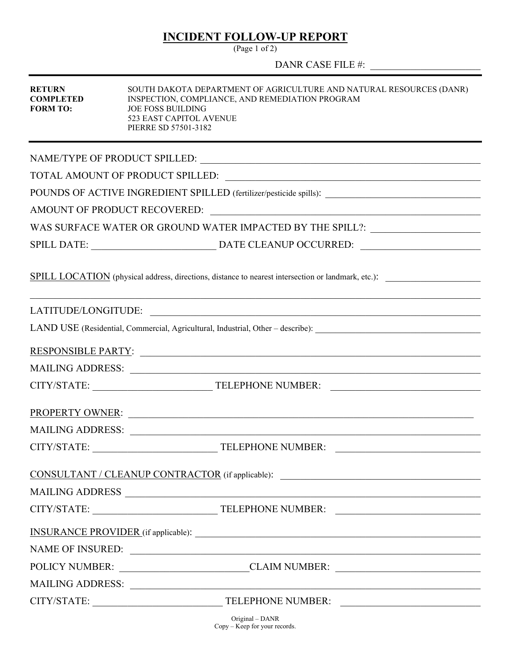## **INCIDENT FOLLOW-UP REPORT**

(Page 1 of 2)

DANR CASE FILE #:

| <b>RETURN</b><br><b>COMPLETED</b><br><b>FORM TO:</b> | SOUTH DAKOTA DEPARTMENT OF AGRICULTURE AND NATURAL RESOURCES (DANR)<br>INSPECTION, COMPLIANCE, AND REMEDIATION PROGRAM<br><b>JOE FOSS BUILDING</b><br>523 EAST CAPITOL AVENUE<br>PIERRE SD 57501-3182                         |  |  |
|------------------------------------------------------|-------------------------------------------------------------------------------------------------------------------------------------------------------------------------------------------------------------------------------|--|--|
|                                                      |                                                                                                                                                                                                                               |  |  |
|                                                      |                                                                                                                                                                                                                               |  |  |
|                                                      | POUNDS OF ACTIVE INGREDIENT SPILLED (fertilizer/pesticide spills): _________________________________                                                                                                                          |  |  |
|                                                      |                                                                                                                                                                                                                               |  |  |
|                                                      | WAS SURFACE WATER OR GROUND WATER IMPACTED BY THE SPILL?: ______________________                                                                                                                                              |  |  |
|                                                      |                                                                                                                                                                                                                               |  |  |
|                                                      | SPILL LOCATION (physical address, directions, distance to nearest intersection or landmark, etc.):                                                                                                                            |  |  |
|                                                      |                                                                                                                                                                                                                               |  |  |
|                                                      |                                                                                                                                                                                                                               |  |  |
|                                                      |                                                                                                                                                                                                                               |  |  |
|                                                      | MAILING ADDRESS:                                                                                                                                                                                                              |  |  |
|                                                      |                                                                                                                                                                                                                               |  |  |
|                                                      | PROPERTY OWNER: New York CONSTRUCT ON THE CONSTRUCTION OF THE CONSTRUCTION OF THE CONSTRUCTION OF THE CONSTRUCTION OF THE CONSTRUCTION OF THE CONSTRUCTION OF THE CONSTRUCTION OF THE CONSTRUCTION OF THE CONSTRUCTION OF THE |  |  |
|                                                      | MAILING ADDRESS:                                                                                                                                                                                                              |  |  |
| CITY/STATE:                                          | <b>TELEPHONE NUMBER:</b>                                                                                                                                                                                                      |  |  |
|                                                      | CONSULTANT / CLEANUP CONTRACTOR (if applicable):                                                                                                                                                                              |  |  |
|                                                      | MAILING ADDRESS                                                                                                                                                                                                               |  |  |
|                                                      |                                                                                                                                                                                                                               |  |  |
|                                                      |                                                                                                                                                                                                                               |  |  |
|                                                      |                                                                                                                                                                                                                               |  |  |
|                                                      | POLICY NUMBER: CLAIM NUMBER:                                                                                                                                                                                                  |  |  |
|                                                      |                                                                                                                                                                                                                               |  |  |
|                                                      |                                                                                                                                                                                                                               |  |  |